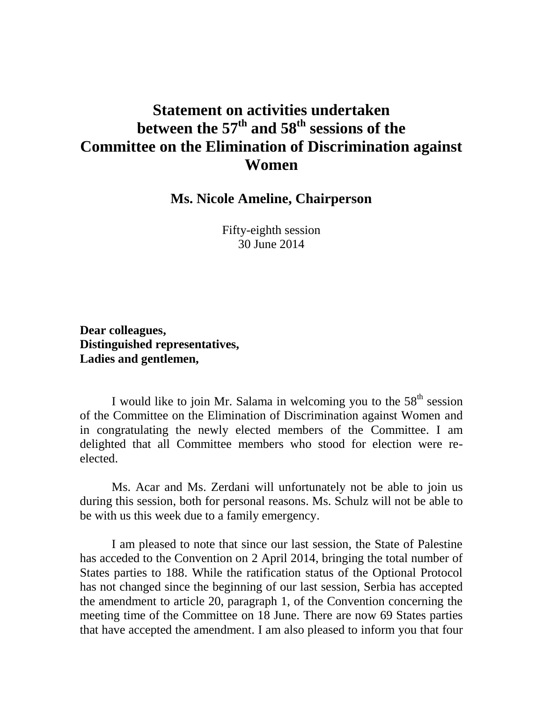## **Statement on activities undertaken between the 57 th and 58 th sessions of the Committee on the Elimination of Discrimination against Women**

**Ms. Nicole Ameline, Chairperson**

Fifty-eighth session 30 June 2014

**Dear colleagues, Distinguished representatives, Ladies and gentlemen,**

I would like to join Mr. Salama in welcoming you to the  $58<sup>th</sup>$  session of the Committee on the Elimination of Discrimination against Women and in congratulating the newly elected members of the Committee. I am delighted that all Committee members who stood for election were reelected.

Ms. Acar and Ms. Zerdani will unfortunately not be able to join us during this session, both for personal reasons. Ms. Schulz will not be able to be with us this week due to a family emergency.

I am pleased to note that since our last session, the State of Palestine has acceded to the Convention on 2 April 2014, bringing the total number of States parties to 188. While the ratification status of the Optional Protocol has not changed since the beginning of our last session, Serbia has accepted the amendment to article 20, paragraph 1, of the Convention concerning the meeting time of the Committee on 18 June. There are now 69 States parties that have accepted the amendment. I am also pleased to inform you that four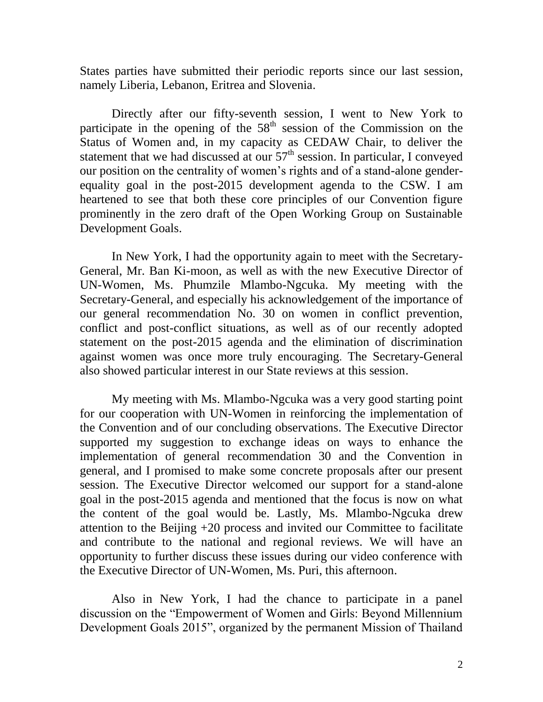States parties have submitted their periodic reports since our last session, namely Liberia, Lebanon, Eritrea and Slovenia.

Directly after our fifty-seventh session, I went to New York to participate in the opening of the  $58<sup>th</sup>$  session of the Commission on the Status of Women and, in my capacity as CEDAW Chair, to deliver the statement that we had discussed at our  $57<sup>th</sup>$  session. In particular, I conveyed our position on the centrality of women's rights and of a stand-alone genderequality goal in the post-2015 development agenda to the CSW. I am heartened to see that both these core principles of our Convention figure prominently in the zero draft of the Open Working Group on Sustainable Development Goals.

In New York, I had the opportunity again to meet with the Secretary-General, Mr. Ban Ki-moon, as well as with the new Executive Director of UN-Women, Ms. Phumzile Mlambo-Ngcuka. My meeting with the Secretary-General, and especially his acknowledgement of the importance of our general recommendation No. 30 on women in conflict prevention, conflict and post-conflict situations, as well as of our recently adopted statement on the post-2015 agenda and the elimination of discrimination against women was once more truly encouraging. The Secretary-General also showed particular interest in our State reviews at this session.

My meeting with Ms. Mlambo-Ngcuka was a very good starting point for our cooperation with UN-Women in reinforcing the implementation of the Convention and of our concluding observations. The Executive Director supported my suggestion to exchange ideas on ways to enhance the implementation of general recommendation 30 and the Convention in general, and I promised to make some concrete proposals after our present session. The Executive Director welcomed our support for a stand-alone goal in the post-2015 agenda and mentioned that the focus is now on what the content of the goal would be. Lastly, Ms. Mlambo-Ngcuka drew attention to the Beijing +20 process and invited our Committee to facilitate and contribute to the national and regional reviews. We will have an opportunity to further discuss these issues during our video conference with the Executive Director of UN-Women, Ms. Puri, this afternoon.

Also in New York, I had the chance to participate in a panel discussion on the "Empowerment of Women and Girls: Beyond Millennium Development Goals 2015", organized by the permanent Mission of Thailand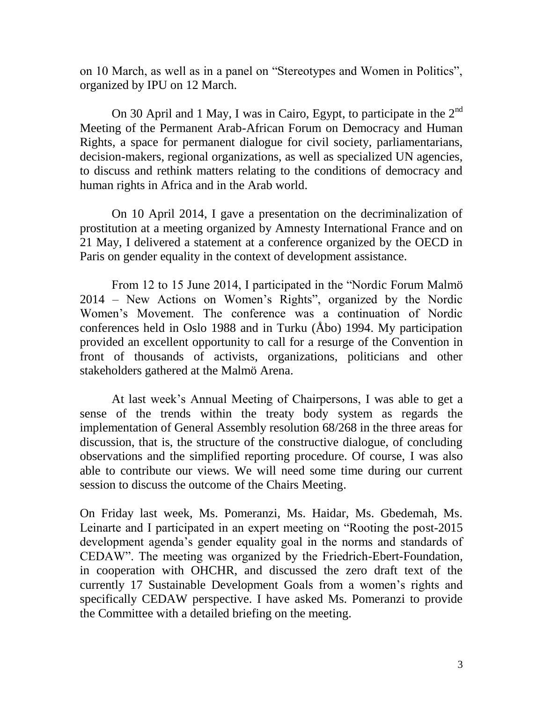on 10 March, as well as in a panel on "Stereotypes and Women in Politics", organized by IPU on 12 March.

On 30 April and 1 May, I was in Cairo, Egypt, to participate in the  $2^{nd}$ Meeting of the Permanent Arab-African Forum on Democracy and Human Rights, a space for permanent dialogue for civil society, parliamentarians, decision-makers, regional organizations, as well as specialized UN agencies, to discuss and rethink matters relating to the conditions of democracy and human rights in Africa and in the Arab world.

On 10 April 2014, I gave a presentation on the decriminalization of prostitution at a meeting organized by Amnesty International France and on 21 May, I delivered a statement at a conference organized by the OECD in Paris on gender equality in the context of development assistance.

From 12 to 15 June 2014, I participated in the "Nordic Forum Malmö 2014 – New Actions on Women's Rights", organized by the Nordic Women's Movement. The conference was a continuation of Nordic conferences held in Oslo 1988 and in Turku (Åbo) 1994. My participation provided an excellent opportunity to call for a resurge of the Convention in front of thousands of activists, organizations, politicians and other stakeholders gathered at the Malmö Arena.

At last week's Annual Meeting of Chairpersons, I was able to get a sense of the trends within the treaty body system as regards the implementation of General Assembly resolution 68/268 in the three areas for discussion, that is, the structure of the constructive dialogue, of concluding observations and the simplified reporting procedure. Of course, I was also able to contribute our views. We will need some time during our current session to discuss the outcome of the Chairs Meeting.

On Friday last week, Ms. Pomeranzi, Ms. Haidar, Ms. Gbedemah, Ms. Leinarte and I participated in an expert meeting on "Rooting the post-2015 development agenda's gender equality goal in the norms and standards of CEDAW". The meeting was organized by the Friedrich-Ebert-Foundation, in cooperation with OHCHR, and discussed the zero draft text of the currently 17 Sustainable Development Goals from a women's rights and specifically CEDAW perspective. I have asked Ms. Pomeranzi to provide the Committee with a detailed briefing on the meeting.